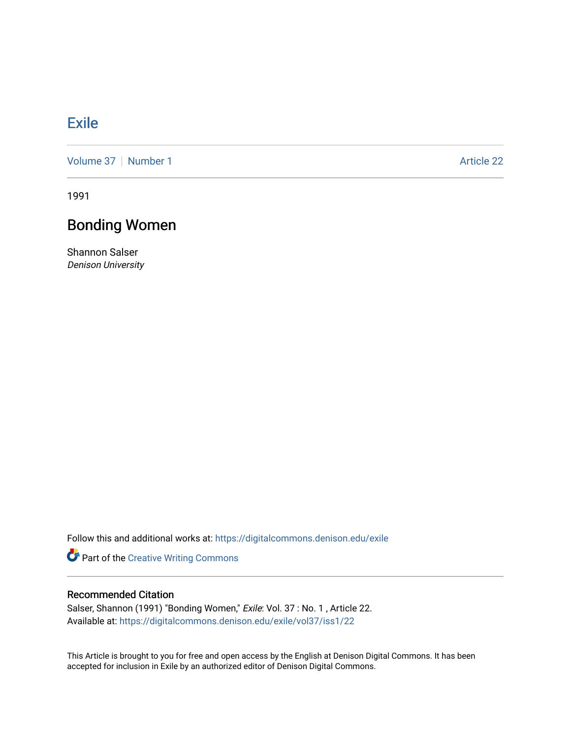## **[Exile](https://digitalcommons.denison.edu/exile)**

[Volume 37](https://digitalcommons.denison.edu/exile/vol37) | [Number 1](https://digitalcommons.denison.edu/exile/vol37/iss1) Article 22

1991

## Bonding Women

Shannon Salser Denison University

Follow this and additional works at: [https://digitalcommons.denison.edu/exile](https://digitalcommons.denison.edu/exile?utm_source=digitalcommons.denison.edu%2Fexile%2Fvol37%2Fiss1%2F22&utm_medium=PDF&utm_campaign=PDFCoverPages) 

Part of the [Creative Writing Commons](http://network.bepress.com/hgg/discipline/574?utm_source=digitalcommons.denison.edu%2Fexile%2Fvol37%2Fiss1%2F22&utm_medium=PDF&utm_campaign=PDFCoverPages) 

## Recommended Citation

Salser, Shannon (1991) "Bonding Women," Exile: Vol. 37 : No. 1 , Article 22. Available at: [https://digitalcommons.denison.edu/exile/vol37/iss1/22](https://digitalcommons.denison.edu/exile/vol37/iss1/22?utm_source=digitalcommons.denison.edu%2Fexile%2Fvol37%2Fiss1%2F22&utm_medium=PDF&utm_campaign=PDFCoverPages)

This Article is brought to you for free and open access by the English at Denison Digital Commons. It has been accepted for inclusion in Exile by an authorized editor of Denison Digital Commons.